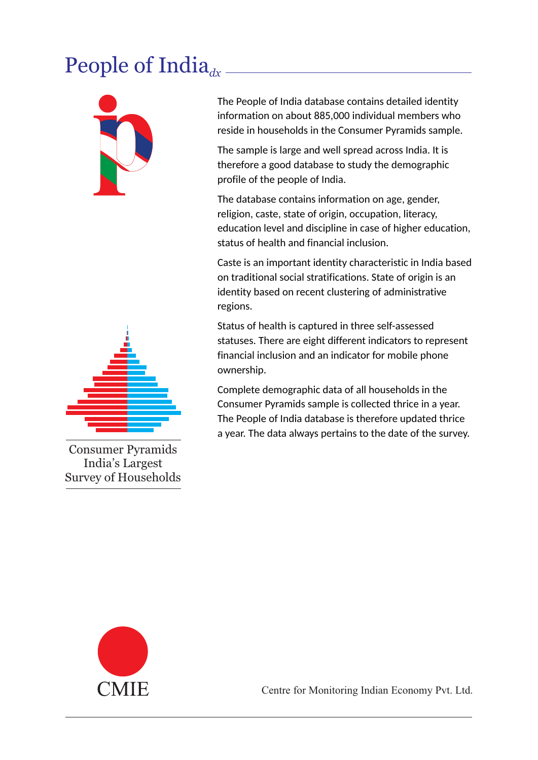## People of India<sub>dx</sub>



The People of India database contains detailed identity information on about 885,000 individual members who reside in households in the Consumer Pyramids sample.

The sample is large and well spread across India. It is therefore a good database to study the demographic profile of the people of India.

The database contains information on age, gender, religion, caste, state of origin, occupation, literacy, education level and discipline in case of higher education, status of health and financial inclusion.

Caste is an important identity characteristic in India based on traditional social stratifications. State of origin is an identity based on recent clustering of administrative regions.

Status of health is captured in three self-assessed statuses. There are eight different indicators to represent financial inclusion and an indicator for mobile phone ownership.

Complete demographic data of all households in the Consumer Pyramids sample is collected thrice in a year. The People of India database is therefore updated thrice a year. The data always pertains to the date of the survey.



Consumer Pyramids India's Largest Survey of Households

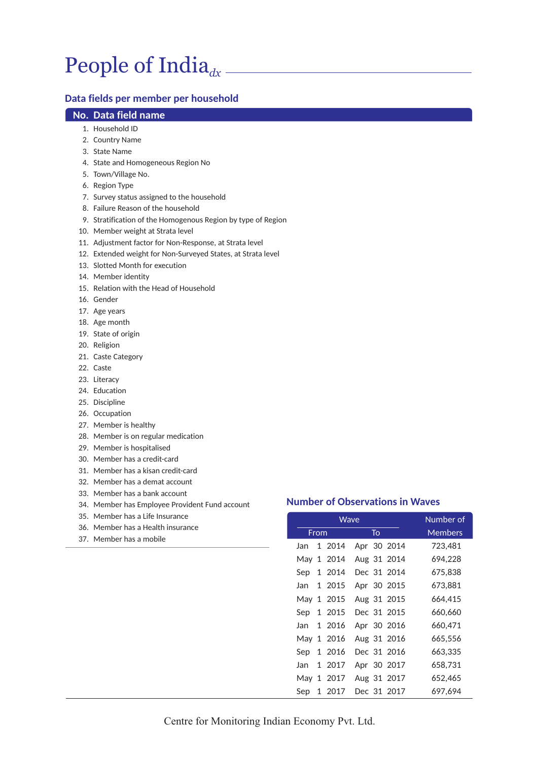# People of India<sub>dx</sub>

### **Data fields per member per household**

#### **No. Data field name**

- 1. Household ID
- 2. Country Name
- 3. State Name
- 4. State and Homogeneous Region No
- 5. Town/Village No.
- 6. Region Type
- 7. Survey status assigned to the household
- 8. Failure Reason of the household
- 9. Stratification of the Homogenous Region by type of Region
- 10. Member weight at Strata level
- 11. Adjustment factor for Non-Response, at Strata level
- 12. Extended weight for Non-Surveyed States, at Strata level
- 13. Slotted Month for execution
- 14. Member identity
- 15. Relation with the Head of Household
- 16. Gender
- 17. Age years
- 18. Age month
- 19. State of origin
- 20. Religion
- 21. Caste Category
- 22. Caste
- 23. Literacy
- 24. Education
- 25. Discipline
- 26. Occupation
- 27. Member is healthy
- 28. Member is on regular medication
- 29. Member is hospitalised
- 30. Member has a credit-card
- 31. Member has a kisan credit-card
- 32. Member has a demat account
- 33. Member has a bank account
- 34. Member has Employee Provident Fund account
- 35. Member has a Life Insurance
- 36. Member has a Health insurance
- 37. Member has a mobile

|      | Wave |            |  |    |             | Number of |
|------|------|------------|--|----|-------------|-----------|
|      | From |            |  | To |             | Members   |
| Jan  |      | 1 2014     |  |    | Apr 30 2014 | 723,481   |
|      |      | May 1 2014 |  |    | Aug 31 2014 | 694,228   |
| Sep  |      | 1 2014     |  |    | Dec 31 2014 | 675,838   |
| Jan  |      | 1 2015     |  |    | Apr 30 2015 | 673,881   |
|      |      | May 1 2015 |  |    | Aug 31 2015 | 664,415   |
| Sep  |      | 1 2015     |  |    | Dec 31 2015 | 660,660   |
| Jan  |      | 1 2016     |  |    | Apr 30 2016 | 660,471   |
|      |      | May 1 2016 |  |    | Aug 31 2016 | 665,556   |
| Sep  |      | 1 2016     |  |    | Dec 31 2016 | 663,335   |
| Jan. |      | 1 2017     |  |    | Apr 30 2017 | 658,731   |
|      |      | May 1 2017 |  |    | Aug 31 2017 | 652,465   |
| Sep  | 1    | 2017       |  |    | Dec 31 2017 | 697.694   |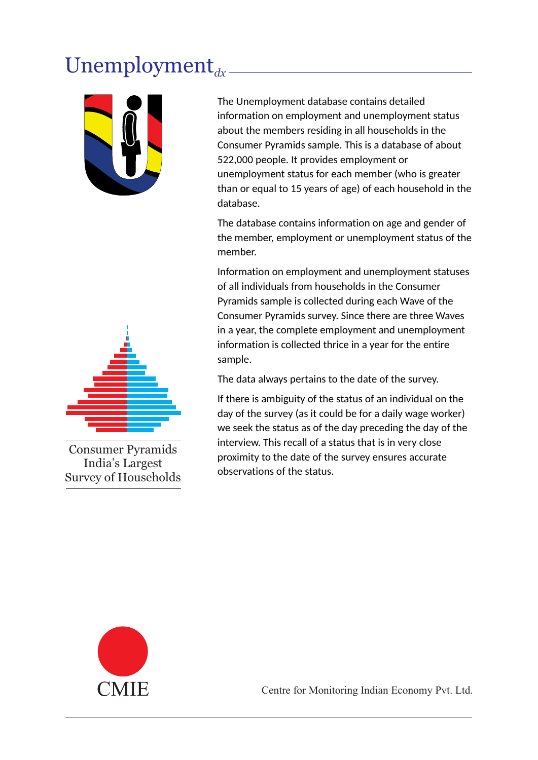# $Unemployment_{dx}$



The Unemployment database contains detailed information on employment and unemployment status about the members residing in all households in the Consumer Pyramids sample. This is a database of about 522,000 people. It provides employment or unemployment status for each member (who is greater than or equal to 15 years of age) of each household in the database.

The database contains information on age and gender of the member, employment or unemployment status of the member.

Information on employment and unemployment statuses of all individuals from households in the Consumer Pyramids sample is collected during each Wave of the Consumer Pyramids survey. Since there are three Waves in a year, the complete employment and unemployment information is collected thrice in a year for the entire sample.

The data always pertains to the date of the survey.

If there is ambiguity of the status of an individual on the day of the survey (as it could be for a daily wage worker) we seek the status as of the day preceding the day of the interview. This recall of a status that is in very close proximity to the date of the survey ensures accurate observations of the status.



Consumer Pyramids India's Largest Survey of Households

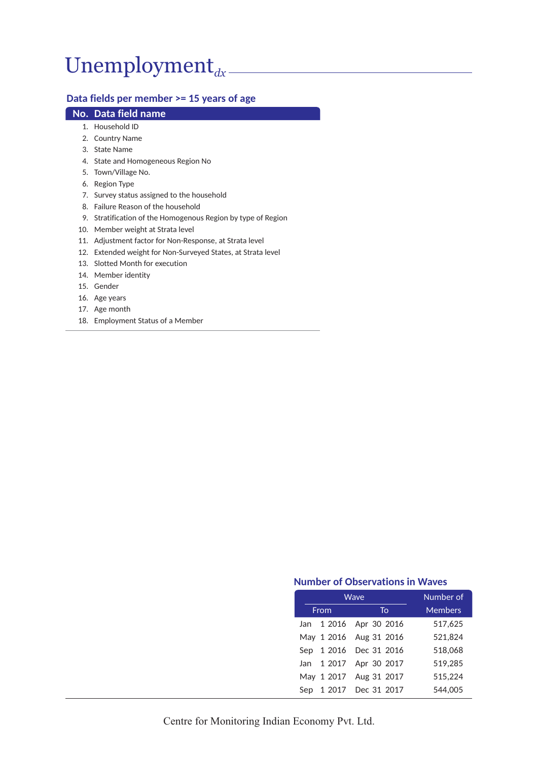# Unemployment<sub>dx</sub>

## **Data fields per member >= 15 years of age**

### **No. Data field name**

- 1. Household ID
- 2. Country Name
- 3. State Name
- 4. State and Homogeneous Region No
- 5. Town/Village No.
- 6. Region Type
- 7. Survey status assigned to the household
- 8. Failure Reason of the household
- 9. Stratification of the Homogenous Region by type of Region
- 10. Member weight at Strata level
- 11. Adjustment factor for Non-Response, at Strata level
- 12. Extended weight for Non-Surveyed States, at Strata level
- 13. Slotted Month for execution
- 14. Member identity
- 15. Gender
- 16. Age years
- 17. Age month
- 18. Employment Status of a Member

|     | Wave | Number of              |                |
|-----|------|------------------------|----------------|
|     | From | To                     | <b>Members</b> |
|     |      | Jan 1 2016 Apr 30 2016 | 517.625        |
|     |      | May 1 2016 Aug 31 2016 | 521,824        |
|     |      | Sep 1 2016 Dec 31 2016 | 518.068        |
|     |      | Jan 1 2017 Apr 30 2017 | 519.285        |
|     |      | May 1 2017 Aug 31 2017 | 515,224        |
| Sep |      | 1 2017 Dec 31 2017     | 544.005        |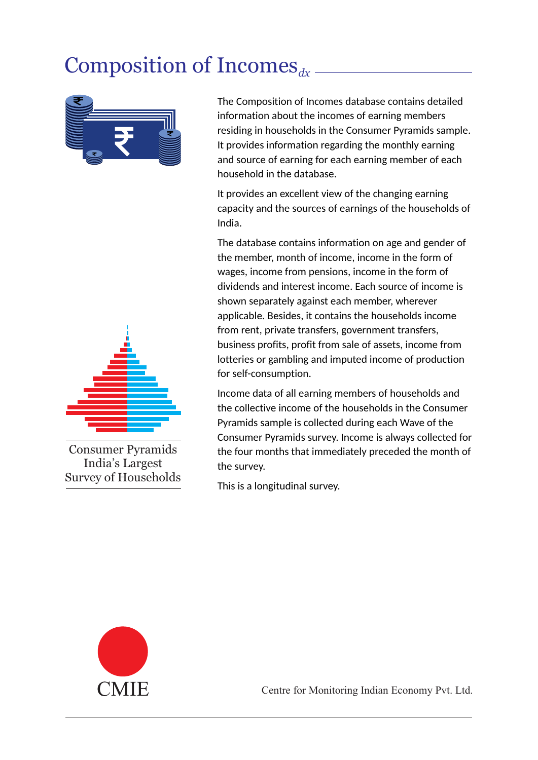## Composition of Incomes<sub>dx</sub>



The Composition of Incomes database contains detailed information about the incomes of earning members residing in households in the Consumer Pyramids sample. It provides information regarding the monthly earning and source of earning for each earning member of each household in the database.

It provides an excellent view of the changing earning capacity and the sources of earnings of the households of India.

The database contains information on age and gender of the member, month of income, income in the form of wages, income from pensions, income in the form of dividends and interest income. Each source of income is shown separately against each member, wherever applicable. Besides, it contains the households income from rent, private transfers, government transfers, business profits, profit from sale of assets, income from lotteries or gambling and imputed income of production for self-consumption.

Income data of all earning members of households and the collective income of the households in the Consumer Pyramids sample is collected during each Wave of the Consumer Pyramids survey. Income is always collected for the four months that immediately preceded the month of the survey.

This is a longitudinal survey.





Consumer Pyramids India's Largest Survey of Households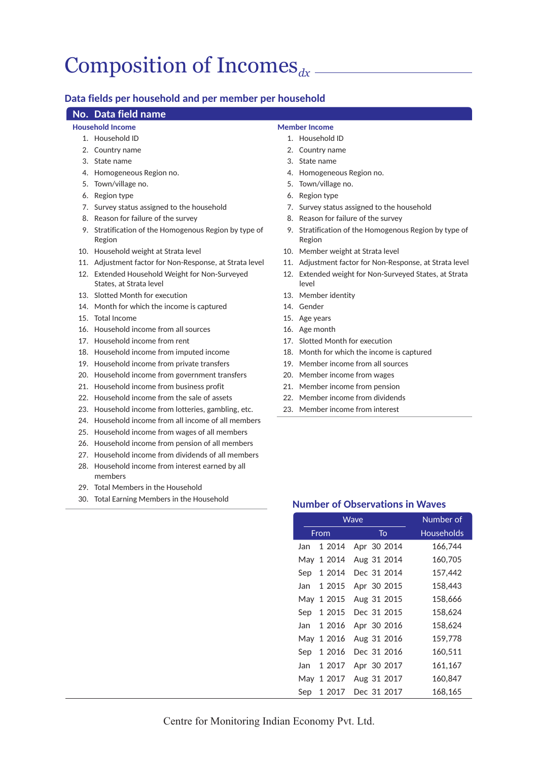## Composition of Incomes<sub>dx</sub>

### **Data fields per household and per member per household**

### **No. Data field name**

#### **Household Income**

- 1. Household ID
- 2. Country name
- 3. State name
- 4. Homogeneous Region no.
- 5. Town/village no.
- 6. Region type
- 7. Survey status assigned to the household
- 8. Reason for failure of the survey
- 9. Stratification of the Homogenous Region by type of Region
- 10. Household weight at Strata level
- 11. Adjustment factor for Non-Response, at Strata level
- 12. Extended Household Weight for Non-Surveyed States, at Strata level
- 13. Slotted Month for execution
- 14. Month for which the income is captured
- 15. Total Income
- 16. Household income from all sources
- 17. Household income from rent
- 18. Household income from imputed income
- 19. Household income from private transfers
- 20. Household income from government transfers
- 21. Household income from business profit
- 22. Household income from the sale of assets
- 23. Household income from lotteries, gambling, etc.
- 24. Household income from all income of all members
- 25. Household income from wages of all members
- 26. Household income from pension of all members
- 27. Household income from dividends of all members
- 28. Household income from interest earned by all members
- 29. Total Members in the Household
- 30. Total Earning Members in the Household

## **Member Income**

- 1. Household ID
- 2. Country name
- 3. State name
- 4. Homogeneous Region no.
- 5. Town/village no.
- 6. Region type
- 7. Survey status assigned to the household
- 8. Reason for failure of the survey
- 9. Stratification of the Homogenous Region by type of Region
- 10. Member weight at Strata level
- 11. Adjustment factor for Non-Response, at Strata level
- 12. Extended weight for Non-Surveyed States, at Strata level
- 13. Member identity
- 14. Gender
- 15. Age years
- 16. Age month
- 17. Slotted Month for execution
- 18. Month for which the income is captured
- 19. Member income from all sources
- 20. Member income from wages
- 21. Member income from pension
- 22. Member income from dividends
- 23. Member income from interest

|     | Wave   | Number of   |            |
|-----|--------|-------------|------------|
|     | From   | To          | Households |
| Jan | 1 2014 | Apr 30 2014 | 166,744    |
| May | 1 2014 | Aug 31 2014 | 160,705    |
| Sep | 1 2014 | Dec 31 2014 | 157,442    |
| Jan | 1 2015 | Apr 30 2015 | 158,443    |
| May | 1 2015 | Aug 31 2015 | 158,666    |
| Sep | 1 2015 | Dec 31 2015 | 158,624    |
| Jan | 1 2016 | Apr 30 2016 | 158,624    |
| May | 1 2016 | Aug 31 2016 | 159,778    |
| Sep | 1 2016 | Dec 31 2016 | 160,511    |
| Jan | 1 2017 | Apr 30 2017 | 161,167    |
| May | 1 2017 | Aug 31 2017 | 160,847    |
| Sep | 1 2017 | Dec 31 2017 | 168,165    |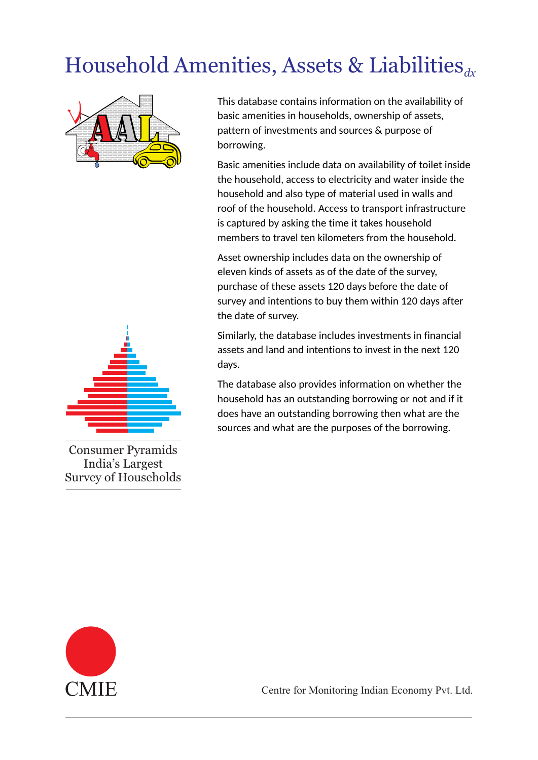## Household Amenities, Assets & Liabilities<sub>dx</sub>



This database contains information on the availability of basic amenities in households, ownership of assets, pattern of investments and sources & purpose of borrowing.

Basic amenities include data on availability of toilet inside the household, access to electricity and water inside the household and also type of material used in walls and roof of the household. Access to transport infrastructure is captured by asking the time it takes household members to travel ten kilometers from the household.

Asset ownership includes data on the ownership of eleven kinds of assets as of the date of the survey, purchase of these assets 120 days before the date of survey and intentions to buy them within 120 days after the date of survey.

Similarly, the database includes investments in financial assets and land and intentions to invest in the next 120 days.

The database also provides information on whether the household has an outstanding borrowing or not and if it does have an outstanding borrowing then what are the sources and what are the purposes of the borrowing.



Consumer Pyramids India's Largest Survey of Households

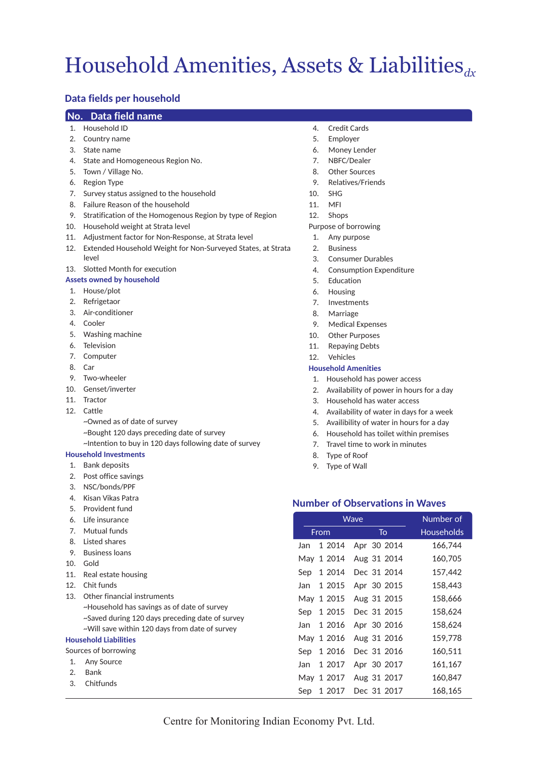## Household Amenities, Assets & Liabilities<sub>dx</sub>

## **Data fields per household**

#### **No. Data field name**

- 1. Household ID
- 2. Country name
- 3. State name
- 4. State and Homogeneous Region No.
- 5. Town / Village No.
- 6. Region Type
- 7. Survey status assigned to the household
- 8. Failure Reason of the household
- 9. Stratification of the Homogenous Region by type of Region
- 10. Household weight at Strata level
- 11. Adjustment factor for Non-Response, at Strata level
- 12. Extended Household Weight for Non-Surveyed States, at Strata level

#### 13. Slotted Month for execution

#### **Assets owned by household**

- 1. House/plot
- 2. Refrigetaor
- 3. Air-conditioner
- 4. Cooler
- 5. Washing machine
- 6. Television
- 7. Computer
- 8. Car
- 9. Two-wheeler
- 10. Genset/inverter
- 11. Tractor
- 12. Cattle
	- ~Owned as of date of survey
	- ~Bought 120 days preceding date of survey
	- ~Intention to buy in 120 days following date of survey

#### **Household Investments**

- 1. Bank deposits
- 2. Post office savings
- 3. NSC/bonds/PPF
- 4. Kisan Vikas Patra
- 5. Provident fund
- 6. Life insurance
- 7. Mutual funds
- 8. Listed shares
- 9. Business loans
- 10. Gold
- 11. Real estate housing
- 12. Chit funds
- 13. Other financial instruments ~Household has savings as of date of survey ~Saved during 120 days preceding date of survey ~Will save within 120 days from date of survey

#### **Household Liabilities**

- Sources of borrowing
- 1. Any Source
- 2. Bank
- 3. Chitfunds
- 4. Credit Cards
- 5. Employer
- 6. Money Lender
- 7. NBFC/Dealer
- 8. Other Sources
- 9. Relatives/Friends
- 10. SHG
- 11. MFI
- 12. Shops
- Purpose of borrowing
- 1. Any purpose
- 2. Business
- 3. Consumer Durables
- 4. Consumption Expenditure
- 5. Education
- 6. Housing
- 7. Investments
- 8. Marriage
- 9. Medical Expenses
- 10. Other Purposes
- 11. Repaying Debts
- 12. Vehicles

#### **Household Amenities**

- 1. Household has power access
- 2. Availability of power in hours for a day
- 3. Household has water access
- 4. Availability of water in days for a week
- 5. Availibility of water in hours for a day
- 6. Household has toilet within premises
- 7. Travel time to work in minutes
- 8. Type of Roof
- 9. Type of Wall

|     | Wave       | Number of   |                   |
|-----|------------|-------------|-------------------|
|     | From       | To          | <b>Households</b> |
| Jan | 1 2014     | Apr 30 2014 | 166,744           |
|     | May 1 2014 | Aug 31 2014 | 160,705           |
| Sep | 1 2014     | Dec 31 2014 | 157,442           |
| Jan | 1 2015     | Apr 30 2015 | 158,443           |
|     | May 1 2015 | Aug 31 2015 | 158,666           |
| Sep | 1 2015     | Dec 31 2015 | 158,624           |
| Jan | 1 2016     | Apr 30 2016 | 158,624           |
|     | May 1 2016 | Aug 31 2016 | 159,778           |
| Sep | 1 2016     | Dec 31 2016 | 160,511           |
| Jan | 1 2017     | Apr 30 2017 | 161,167           |
|     | May 1 2017 | Aug 31 2017 | 160,847           |
| Sep | 1 2017     | Dec 31 2017 | 168,165           |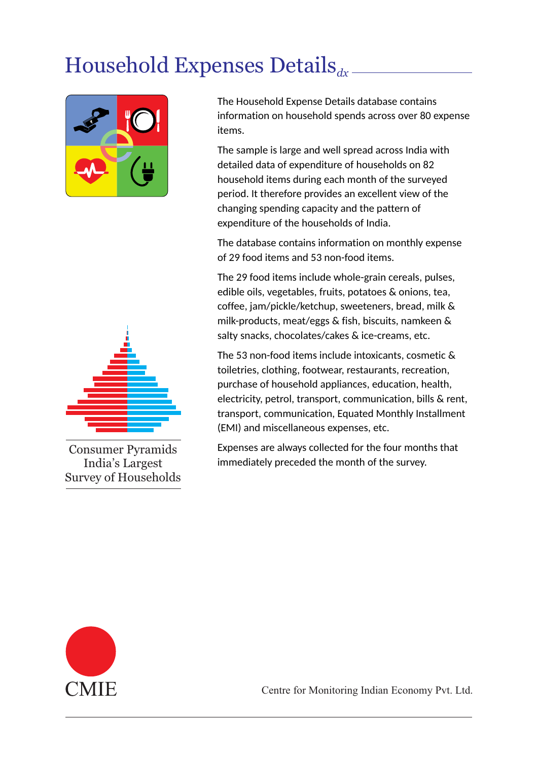## Household Expenses Details<sub>dx</sub>



The Household Expense Details database contains information on household spends across over 80 expense items.

The sample is large and well spread across India with detailed data of expenditure of households on 82 household items during each month of the surveyed period. It therefore provides an excellent view of the changing spending capacity and the pattern of expenditure of the households of India.

The database contains information on monthly expense of 29 food items and 53 non-food items.

The 29 food items include whole-grain cereals, pulses, edible oils, vegetables, fruits, potatoes & onions, tea, coffee, jam/pickle/ketchup, sweeteners, bread, milk & milk-products, meat/eggs & fish, biscuits, namkeen & salty snacks, chocolates/cakes & ice-creams, etc.

The 53 non-food items include intoxicants, cosmetic & toiletries, clothing, footwear, restaurants, recreation, purchase of household appliances, education, health, electricity, petrol, transport, communication, bills & rent, transport, communication, Equated Monthly Installment (EMI) and miscellaneous expenses, etc.

Expenses are always collected for the four months that immediately preceded the month of the survey.



Consumer Pyramids India's Largest Survey of Households

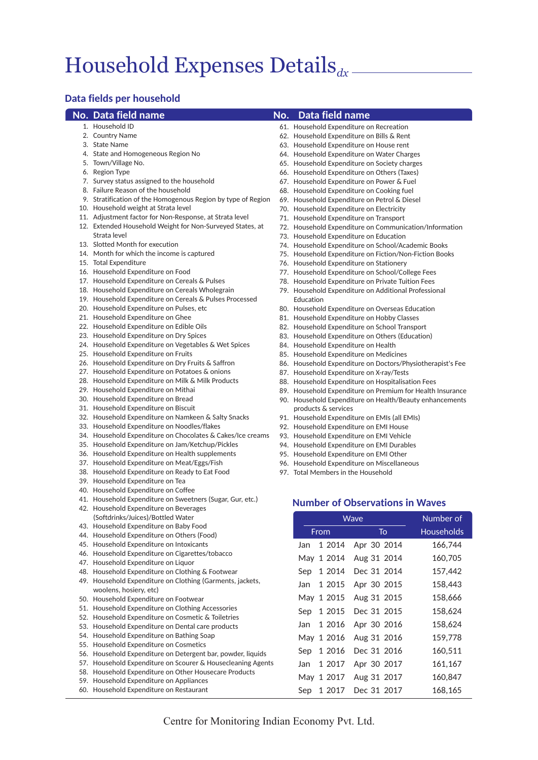## Household Expenses Details*dx*

### **Data fields per household**

#### **No. Data field name**

61. Household Expenditure on Recreation

1. Household ID 2. Country Name

**No. Data field name**

- 3. State Name
- 4. State and Homogeneous Region No
- 5. Town/Village No.
- 6. Region Type
- 7. Survey status assigned to the household
- 8. Failure Reason of the household
- 9. Stratification of the Homogenous Region by type of Region
- 10. Household weight at Strata level 11. Adjustment factor for Non-Response, at Strata level
- 12. Extended Household Weight for Non-Surveyed States, at
- Strata level 13. Slotted Month for execution
- 14. Month for which the income is captured
- 
- 15. Total Expenditure
- 16. Household Expenditure on Food
- 17. Household Expenditure on Cereals & Pulses
- 18. Household Expenditure on Cereals Wholegrain
- 19. Household Expenditure on Cereals & Pulses Processed
- 20. Household Expenditure on Pulses, etc
- 21. Household Expenditure on Ghee
- 22. Household Expenditure on Edible Oils
- 23. Household Expenditure on Dry Spices
- 24. Household Expenditure on Vegetables & Wet Spices
- 25. Household Expenditure on Fruits
- 26. Household Expenditure on Dry Fruits & Saffron
- 27. Household Expenditure on Potatoes & onions
- 28. Household Expenditure on Milk & Milk Products
- 29. Household Expenditure on Mithai
- 30. Household Expenditure on Bread
- 31. Household Expenditure on Biscuit
- 32. Household Expenditure on Namkeen & Salty Snacks
- 33. Household Expenditure on Noodles/flakes
- 34. Household Expenditure on Chocolates & Cakes/Ice creams
- 35. Household Expenditure on Jam/Ketchup/Pickles
- 36. Household Expenditure on Health supplements
- 37. Household Expenditure on Meat/Eggs/Fish
- 38. Household Expenditure on Ready to Eat Food
- 39. Household Expenditure on Tea
- 40. Household Expenditure on Coffee
- 41. Household Expenditure on Sweetners (Sugar, Gur, etc.)
- 42. Household Expenditure on Beverages (Softdrinks/Juices)/Bottled Water
- 43. Household Expenditure on Baby Food
- 44. Household Expenditure on Others (Food)
- 45. Household Expenditure on Intoxicants
- 46. Household Expenditure on Cigarettes/tobacco
- 47. Household Expenditure on Liquor
- 48. Household Expenditure on Clothing & Footwear
- 49. Household Expenditure on Clothing (Garments, jackets, woolens, hosiery, etc)
- 50. Household Expenditure on Footwear
- 51. Household Expenditure on Clothing Accessories
- 52. Household Expenditure on Cosmetic & Toiletries 53. Household Expenditure on Dental care products
- 54. Household Expenditure on Bathing Soap
- 55. Household Expenditure on Cosmetics
- 56. Household Expenditure on Detergent bar, powder, liquids
- 57. Household Expenditure on Scourer & Housecleaning Agents

Centre for Monitoring Indian Economy Pvt. Ltd.

- 58. Household Expenditure on Other Housecare Products
- 59. Household Expenditure on Appliances
- 60. Household Expenditure on Restaurant
- 
- 62. Household Expenditure on Bills & Rent
- 63. Household Expenditure on House rent
- 64. Household Expenditure on Water Charges
- 65. Household Expenditure on Society charges
- 66. Household Expenditure on Others (Taxes)
- 67. Household Expenditure on Power & Fuel
- 68. Household Expenditure on Cooking fuel
- 69. Household Expenditure on Petrol & Diesel
- 70. Household Expenditure on Electricity
- 71. Household Expenditure on Transport
- 72. Household Expenditure on Communication/Information
- 73. Household Expenditure on Education
- 74. Household Expenditure on School/Academic Books
- 75. Household Expenditure on Fiction/Non-Fiction Books
- 76. Household Expenditure on Stationery
- 77. Household Expenditure on School/College Fees
- 78. Household Expenditure on Private Tuition Fees
- 79. Household Expenditure on Additional Professional Education
- 80. Household Expenditure on Overseas Education
- 81. Household Expenditure on Hobby Classes
- 82. Household Expenditure on School Transport
- 83. Household Expenditure on Others (Education)
- 84 Household Expenditure on Health
- 85. Household Expenditure on Medicines
- 86. Household Expenditure on Doctors/Physiotherapist's Fee
- 87. Household Expenditure on X-ray/Tests
- 88. Household Expenditure on Hospitalisation Fees
- 89. Household Expenditure on Premium for Health Insurance
- 90. Household Expenditure on Health/Beauty enhancements products & services
- 91. Household Expenditure on EMIs (all EMIs)
- 92. Household Expenditure on EMI House
- 93. Household Expenditure on EMI Vehicle
- 94. Household Expenditure on EMI Durables
- 95. Household Expenditure on EMI Other
- 96. Household Expenditure on Miscellaneous
- 97. Total Members in the Household

#### **Number of Observations in Waves**

Wave **Number of** 

From To Households Jan 1 2014 Apr 30 2014 166,744 May 1 2014 Aug 31 2014 160,705 Sep 1 2014 Dec 31 2014 157,442 Jan 1 2015 Apr 30 2015 158,443 May 1 2015 Aug 31 2015 158,666 Sep 1 2015 Dec 31 2015 158,624 Jan 1 2016 Apr 30 2016 158,624 May 1 2016 Aug 31 2016 159,778 Sep 1 2016 Dec 31 2016 160,511 Jan 1 2017 Apr 30 2017 161,167 May 1 2017 Aug 31 2017 160,847 Sep 1 2017 Dec 31 2017 168,165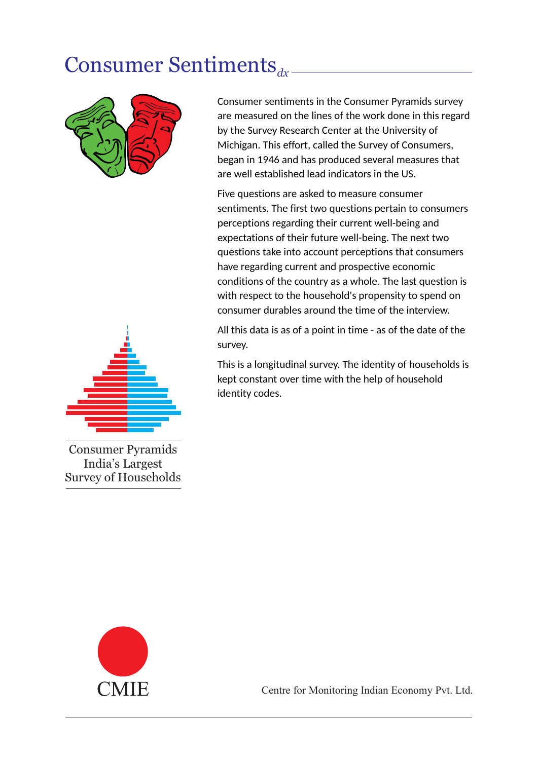## Consumer Sentiments<sub>dx</sub>.



Consumer sentiments in the Consumer Pyramids survey are measured on the lines of the work done in this regard by the Survey Research Center at the University of Michigan. This effort, called the Survey of Consumers, began in 1946 and has produced several measures that are well established lead indicators in the US.

Five questions are asked to measure consumer sentiments. The first two questions pertain to consumers perceptions regarding their current well-being and expectations of their future well-being. The next two questions take into account perceptions that consumers have regarding current and prospective economic conditions of the country as a whole. The last question is with respect to the household's propensity to spend on consumer durables around the time of the interview.

All this data is as of a point in time - as of the date of the survey.

This is a longitudinal survey. The identity of households is kept constant over time with the help of household identity codes.



Consumer Pyramids India's Largest Survey of Households